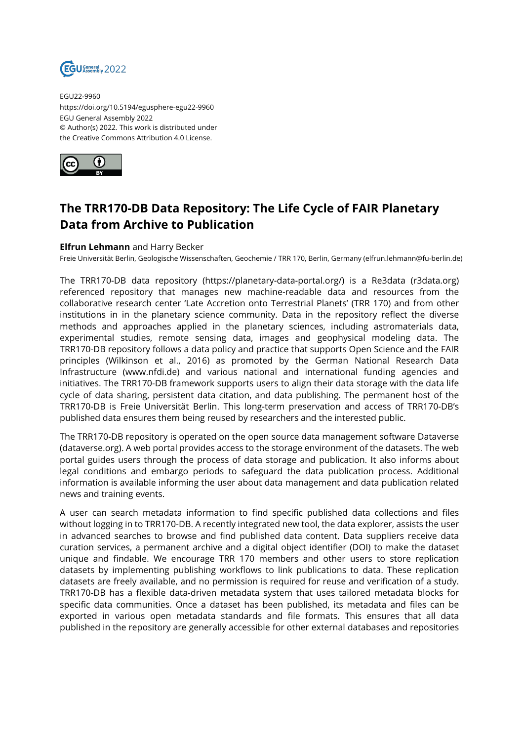

EGU22-9960 https://doi.org/10.5194/egusphere-egu22-9960 EGU General Assembly 2022 © Author(s) 2022. This work is distributed under the Creative Commons Attribution 4.0 License.



## **The TRR170-DB Data Repository: The Life Cycle of FAIR Planetary Data from Archive to Publication**

## **Elfrun Lehmann** and Harry Becker

Freie Universität Berlin, Geologische Wissenschaften, Geochemie / TRR 170, Berlin, Germany (elfrun.lehmann@fu-berlin.de)

The TRR170-DB data repository (https://planetary-data-portal.org/) is a Re3data (r3data.org) referenced repository that manages new machine-readable data and resources from the collaborative research center 'Late Accretion onto Terrestrial Planets' (TRR 170) and from other institutions in in the planetary science community. Data in the repository reflect the diverse methods and approaches applied in the planetary sciences, including astromaterials data, experimental studies, remote sensing data, images and geophysical modeling data. The TRR170-DB repository follows a data policy and practice that supports Open Science and the FAIR principles (Wilkinson et al., 2016) as promoted by the German National Research Data Infrastructure (www.nfdi.de) and various national and international funding agencies and initiatives. The TRR170-DB framework supports users to align their data storage with the data life cycle of data sharing, persistent data citation, and data publishing. The permanent host of the TRR170-DB is Freie Universität Berlin. This long-term preservation and access of TRR170-DB's published data ensures them being reused by researchers and the interested public.

The TRR170-DB repository is operated on the open source data management software Dataverse (dataverse.org). A web portal provides access to the storage environment of the datasets. The web portal guides users through the process of data storage and publication. It also informs about legal conditions and embargo periods to safeguard the data publication process. Additional information is available informing the user about data management and data publication related news and training events.

A user can search metadata information to find specific published data collections and files without logging in to TRR170-DB. A recently integrated new tool, the data explorer, assists the user in advanced searches to browse and find published data content. Data suppliers receive data curation services, a permanent archive and a digital object identifier (DOI) to make the dataset unique and findable. We encourage TRR 170 members and other users to store replication datasets by implementing publishing workflows to link publications to data. These replication datasets are freely available, and no permission is required for reuse and verification of a study. TRR170-DB has a flexible data-driven metadata system that uses tailored metadata blocks for specific data communities. Once a dataset has been published, its metadata and files can be exported in various open metadata standards and file formats. This ensures that all data published in the repository are generally accessible for other external databases and repositories